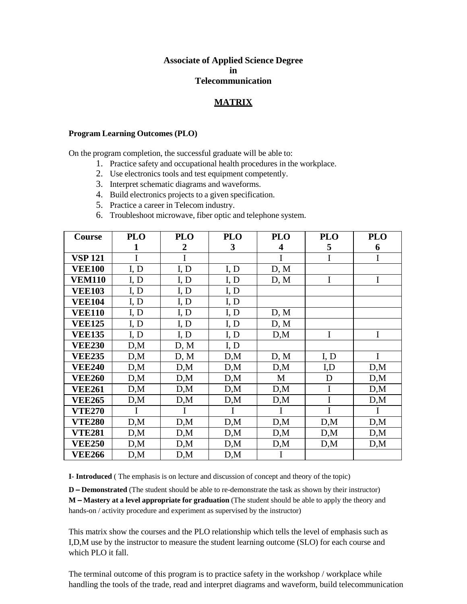## **Associate of Applied Science Degree in Telecommunication**

## **MATRIX**

## **Program Learning Outcomes (PLO)**

On the program completion, the successful graduate will be able to:

- 1. Practice safety and occupational health procedures in the workplace.
- 2. Use electronics tools and test equipment competently.
- 3. Interpret schematic diagrams and waveforms.
- 4. Build electronics projects to a given specification.
- 5. Practice a career in Telecom industry.
- 6. Troubleshoot microwave, fiber optic and telephone system.

| Course         | <b>PLO</b> | <b>PLO</b>       | <b>PLO</b> | <b>PLO</b>  | <b>PLO</b>  | <b>PLO</b>   |
|----------------|------------|------------------|------------|-------------|-------------|--------------|
|                | 1          | $\boldsymbol{2}$ | 3          | 4           | 5           | 6            |
| <b>VSP 121</b> | I          | $\mathbf I$      |            | $\mathbf I$ | $\mathbf I$ | $\mathbf I$  |
| <b>VEE100</b>  | I, D       | I, D             | I, D       | D, M        |             |              |
| <b>VEM110</b>  | I, D       | I, D             | I, D       | D, M        | $\mathbf I$ | $\mathbf I$  |
| <b>VEE103</b>  | I, D       | I, D             | I, D       |             |             |              |
| <b>VEE104</b>  | I, D       | I, D             | I, D       |             |             |              |
| <b>VEE110</b>  | I, D       | I, D             | I, D       | D, M        |             |              |
| <b>VEE125</b>  | I, D       | I, D             | I, D       | D, M        |             |              |
| <b>VEE135</b>  | I, D       | I, D             | I, D       | D,M         | I           | $\mathbf I$  |
| <b>VEE230</b>  | D,M        | D, M             | I, D       |             |             |              |
| <b>VEE235</b>  | D,M        | D, M             | D,M        | D, M        | I, D        | $\mathbf{I}$ |
| <b>VEE240</b>  | D,M        | D,M              | D,M        | D,M         | I,D         | D,M          |
| <b>VEE260</b>  | D,M        | D,M              | D,M        | M           | D           | D,M          |
| <b>VEE261</b>  | D,M        | D,M              | D,M        | D,M         | $\mathbf I$ | D,M          |
| <b>VEE265</b>  | D,M        | D,M              | D,M        | D,M         | $\mathbf I$ | D,M          |
| <b>VTE270</b>  |            |                  |            |             | I           |              |
| <b>VTE280</b>  | D,M        | D,M              | D,M        | D,M         | D,M         | D,M          |
| <b>VTE281</b>  | D,M        | D,M              | D,M        | D,M         | D,M         | D,M          |
| <b>VEE250</b>  | D,M        | D,M              | D,M        | D,M         | D,M         | D,M          |
| <b>VEE266</b>  | D,M        | D,M              | D,M        | Ι           |             |              |

**I- Introduced** ( The emphasis is on lecture and discussion of concept and theory of the topic)

**D – Demonstrated** (The student should be able to re-demonstrate the task as shown by their instructor) **M – Mastery at a level appropriate for graduation** (The student should be able to apply the theory and hands-on / activity procedure and experiment as supervised by the instructor)

This matrix show the courses and the PLO relationship which tells the level of emphasis such as I,D,M use by the instructor to measure the student learning outcome (SLO) for each course and which PLO it fall.

The terminal outcome of this program is to practice safety in the workshop / workplace while handling the tools of the trade, read and interpret diagrams and waveform, build telecommunication